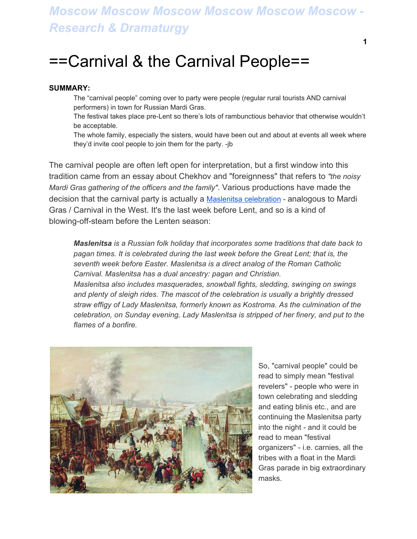## *Moscow Moscow Moscow Moscow Moscow Moscow - Research & Dramaturgy*

## ==Carnival & the Carnival People==

## **SUMMARY:**

The "carnival people" coming over to party were people (regular rural tourists AND carnival performers) in town for Russian Mardi Gras.

The festival takes place pre-Lent so there's lots of rambunctious behavior that otherwise wouldn't be acceptable.

The whole family, especially the sisters, would have been out and about at events all week where they'd invite cool people to join them for the party. -jb

The carnival people are often left open for interpretation, but a first window into this tradition came from an essay about Chekhov and "foreignness" that refers to *"the noisy Mardi Gras gathering of the officers and the family"*. Various productions have made the decision that the carnival party is actually a Maslenitsa [celebration](https://en.wikipedia.org/wiki/Maslenitsa) - analogous to Mardi Gras / Carnival in the West. It's the last week before Lent, and so is a kind of blowing-off-steam before the Lenten season:

*Maslenitsa is a Russian folk holiday that incorporates some traditions that date back to pagan times. It is celebrated during the last week before the Great Lent; that is, the seventh week before Easter. Maslenitsa is a direct analog of the Roman Catholic Carnival. Maslenitsa has a dual ancestry: pagan and Christian.*

*Maslenitsa also includes masquerades, snowball fights, sledding, swinging on swings and plenty of sleigh rides. The mascot of the celebration is usually a brightly dressed straw effigy of Lady Maslenitsa, formerly known as Kostroma. As the culmination of the celebration, on Sunday evening, Lady Maslenitsa is stripped of her finery, and put to the flames of a bonfire.*



So, "carnival people" could be read to simply mean "festival revelers" - people who were in town celebrating and sledding and eating blinis etc., and are continuing the Maslenitsa party into the night - and it could be read to mean "festival organizers" - i.e. carnies, all the tribes with a float in the Mardi Gras parade in big extraordinary masks.